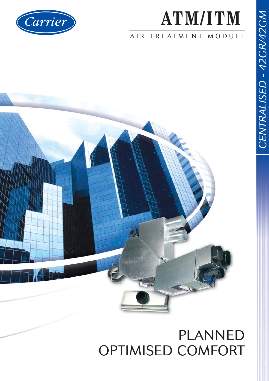# Carrier

# **ATM/ITM**

#### AIR TREATMENT MODULE



### PLANNED OPTIMISED COMFORT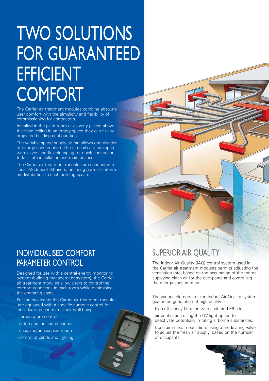## TWO SOLUTIONS FOR GUARANTEED EFFICIENT **COMFORT**

The Carrier air treatment modules combine absolute user comfort with the simplicity and flexibility of commissioning for contractors.

Installed in the plant room or cleverly placed above the false ceiling in an empty space they can fit any projected building configuration.

The variable-speed supply air fan allows optimisation of energy consumption. The fan coils are equipped with valves and flexible piping for quick connection to facilitate installation and maintenance.

The Carrier air treatment modules are connected to linear Moduboot diffusers, ensuring perfect uniform air distribution to each building space.

#### INDIVIDUALISED COMFORT PARAMETER CONTROL

Designed for use with a central energy monitoring system (building management system), the Carrier air treatment modules allow users to control the comfort conditions in each room while minimising the operating costs.

For the occupants the Carrier air treatment modules are equipped with a specific numeric control for individualised control of their well-being:

- temperature control
- automatic fan-speed control
- occupied/unoccupied mode
- control of blinds and lighting

#### SUPERIOR AIR QUALITY

The Indoor Air Quality (IAQ) control system used in the Carrier air treatment modules permits adjusting the ventilation rate, based on the occupation of the rooms, supplying clean air for the occupants and controlling the energy consumption.

The various elements of the Indoor Air Quality system guarantee generation of high-quality air:

- high-efficiency filtration with a pleated F6 filter
- air purification using the UV light option to deactivate potentially irritating airborne substances.
- fresh air intake modulation, using a modulating valve to adjust the fresh air supply, based on the number of occupants.

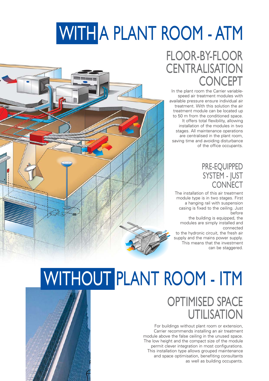# WITH A PLANT ROOM - ATM

### FLOOR-BY-FLOOR **CENTRALISATION CONCEPT**

In the plant room the Carrier variablespeed air treatment modules with available pressure ensure individual air treatment. With this solution the air treatment module can be located up to 50 m from the conditioned space. It offers total flexibility, allowing installation of the modules in two stages. All maintenance operations are centralised in the plant room, saving time and avoiding disturbance of the office occupants.

#### PRE-EQUIPPED SYSTEM - JUST **CONNECT**

The installation of this air treatment module type is in two stages. First a hanging rail with suspension casing is fixed to the ceiling. Just before

the building is equipped, the modules are simply installed and connected

to the hydronic circuit, the fresh air supply and the mains power supply. This means that the investment can be staggered.



# WITHOUT PLANT ROOM - ITM

### OPTIMISED SPACE UTILISATION

For buildings without plant room or extension, Carrier recommends installing an air treatment module above the false ceiling in the unused space. The low height and the compact size of the module permit clever integration in most configurations. This installation type allows grouped maintenance and space optimisation, benefiting consultants as well as building occupants.